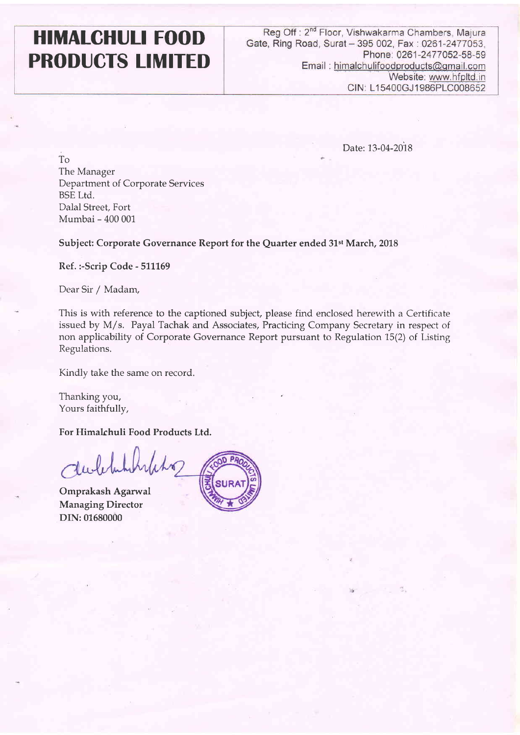# **PRODUCTS LIMITED**

'n

**HIMALCHULI FOOD** Reg Off : 2<sup>nd</sup> Floor, Vishwakarma Chambers, Majura Gate, Ring Road, Surat – 395 002, Fax : 0261-2477053, **Gate, Ring Road, Surat** - **395 002,** Fax : **0261-2477053, Email** : **himalchulifood~roducts@~rnail.com**  Website: www.hfpltd.in **CIN: L15400GJ 1986PLC008652** 

Date: 13-04-2018

To The Manager Department of Corporate Services BSE Ltd. Dalal Street, Fort Mumbai - 400 001

**Subject: Corporate Governance Report for the Quarter ended 31st March, 2018** 

**Ref. :-Scrip Code** - **511169** 

Dear Sir / Madam,

This is with reference to the captioned subject, please find enclosed herewith a Certificate issued by M/s. Payal Tachak and Associates, Practicing Company Secretary in respect of non applicability of Corporate Governance Report pursuant to Regulation 15(2) of Listing Regulations.

Kindly take the same on record.

Thanking you, Yours faithfully,

**For Himalchuli Food Products Ltd.** 

holito

**Omprakash Agarwal Managing Director DIN: 01680000**